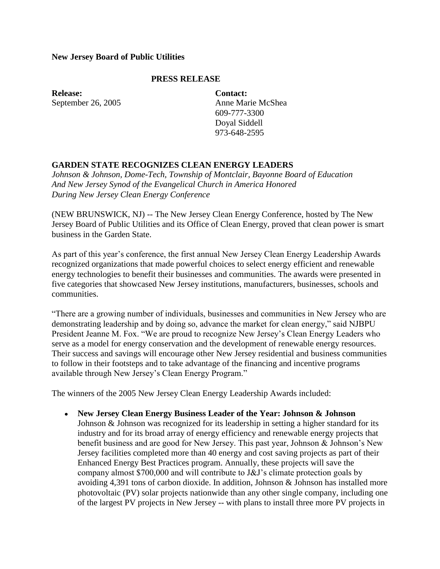### **New Jersey Board of Public Utilities**

### **PRESS RELEASE**

**Release:** September 26, 2005 **Contact:** Anne Marie McShea 609-777-3300 Doyal Siddell 973-648-2595

## **GARDEN STATE RECOGNIZES CLEAN ENERGY LEADERS**

*Johnson & Johnson, Dome-Tech, Township of Montclair, Bayonne Board of Education And New Jersey Synod of the Evangelical Church in America Honored During New Jersey Clean Energy Conference*

(NEW BRUNSWICK, NJ) -- The New Jersey Clean Energy Conference, hosted by The New Jersey Board of Public Utilities and its Office of Clean Energy, proved that clean power is smart business in the Garden State.

As part of this year's conference, the first annual New Jersey Clean Energy Leadership Awards recognized organizations that made powerful choices to select energy efficient and renewable energy technologies to benefit their businesses and communities. The awards were presented in five categories that showcased New Jersey institutions, manufacturers, businesses, schools and communities.

"There are a growing number of individuals, businesses and communities in New Jersey who are demonstrating leadership and by doing so, advance the market for clean energy," said NJBPU President Jeanne M. Fox. "We are proud to recognize New Jersey's Clean Energy Leaders who serve as a model for energy conservation and the development of renewable energy resources. Their success and savings will encourage other New Jersey residential and business communities to follow in their footsteps and to take advantage of the financing and incentive programs available through New Jersey's Clean Energy Program."

The winners of the 2005 New Jersey Clean Energy Leadership Awards included:

**New Jersey Clean Energy Business Leader of the Year: Johnson & Johnson** Johnson & Johnson was recognized for its leadership in setting a higher standard for its industry and for its broad array of energy efficiency and renewable energy projects that benefit business and are good for New Jersey. This past year, Johnson & Johnson's New Jersey facilities completed more than 40 energy and cost saving projects as part of their Enhanced Energy Best Practices program. Annually, these projects will save the company almost \$700,000 and will contribute to J&J's climate protection goals by avoiding 4,391 tons of carbon dioxide. In addition, Johnson & Johnson has installed more photovoltaic (PV) solar projects nationwide than any other single company, including one of the largest PV projects in New Jersey -- with plans to install three more PV projects in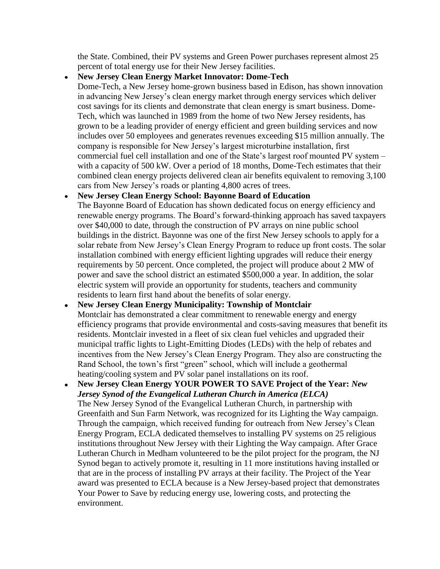the State. Combined, their PV systems and Green Power purchases represent almost 25 percent of total energy use for their New Jersey facilities.

#### **New Jersey Clean Energy Market Innovator: Dome-Tech**  $\bullet$

Dome-Tech, a New Jersey home-grown business based in Edison, has shown innovation in advancing New Jersey's clean energy market through energy services which deliver cost savings for its clients and demonstrate that clean energy is smart business. Dome-Tech, which was launched in 1989 from the home of two New Jersey residents, has grown to be a leading provider of energy efficient and green building services and now includes over 50 employees and generates revenues exceeding \$15 million annually. The company is responsible for New Jersey's largest microturbine installation, first commercial fuel cell installation and one of the State's largest roof mounted PV system – with a capacity of 500 kW. Over a period of 18 months, Dome-Tech estimates that their combined clean energy projects delivered clean air benefits equivalent to removing 3,100 cars from New Jersey's roads or planting 4,800 acres of trees.

#### **New Jersey Clean Energy School: Bayonne Board of Education**  $\bullet$

The Bayonne Board of Education has shown dedicated focus on energy efficiency and renewable energy programs. The Board's forward-thinking approach has saved taxpayers over \$40,000 to date, through the construction of PV arrays on nine public school buildings in the district. Bayonne was one of the first New Jersey schools to apply for a solar rebate from New Jersey's Clean Energy Program to reduce up front costs. The solar installation combined with energy efficient lighting upgrades will reduce their energy requirements by 50 percent. Once completed, the project will produce about 2 MW of power and save the school district an estimated \$500,000 a year. In addition, the solar electric system will provide an opportunity for students, teachers and community residents to learn first hand about the benefits of solar energy.

# **New Jersey Clean Energy Municipality: Township of Montclair** Montclair has demonstrated a clear commitment to renewable energy and energy efficiency programs that provide environmental and costs-saving measures that benefit its residents. Montclair invested in a fleet of six clean fuel vehicles and upgraded their municipal traffic lights to Light-Emitting Diodes (LEDs) with the help of rebates and incentives from the New Jersey's Clean Energy Program. They also are constructing the Rand School, the town's first "green" school, which will include a geothermal heating/cooling system and PV solar panel installations on its roof.

**New Jersey Clean Energy YOUR POWER TO SAVE Project of the Year:** *New*   $\bullet$ *Jersey Synod of the Evangelical Lutheran Church in America (ELCA)* The New Jersey Synod of the Evangelical Lutheran Church, in partnership with Greenfaith and Sun Farm Network, was recognized for its Lighting the Way campaign. Through the campaign, which received funding for outreach from New Jersey's Clean Energy Program, ECLA dedicated themselves to installing PV systems on 25 religious institutions throughout New Jersey with their Lighting the Way campaign. After Grace Lutheran Church in Medham volunteered to be the pilot project for the program, the NJ Synod began to actively promote it, resulting in 11 more institutions having installed or that are in the process of installing PV arrays at their facility. The Project of the Year award was presented to ECLA because is a New Jersey-based project that demonstrates Your Power to Save by reducing energy use, lowering costs, and protecting the environment.